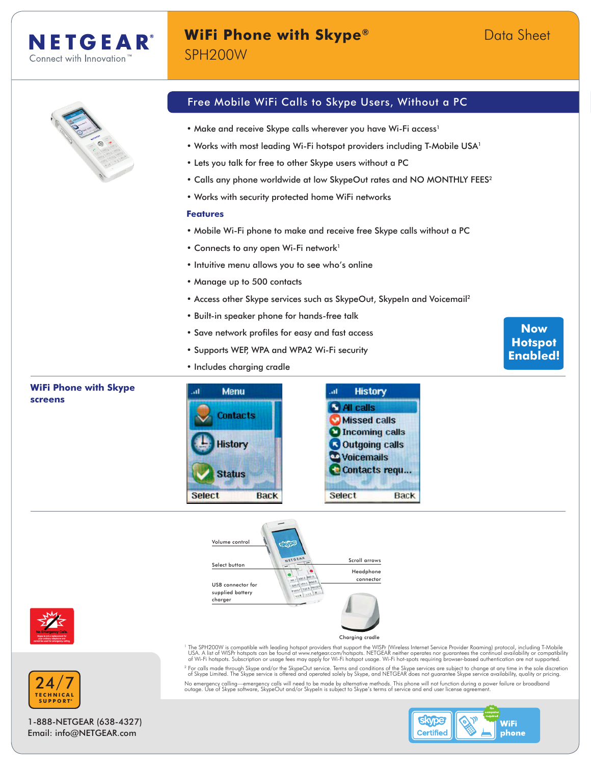## **WiFi Phone with Skype®** Data Sheet SPH200W



- Make and receive Skype calls wherever you have Wi-Fi access<sup>1</sup>
- Works with most leading Wi-Fi hotspot providers including T-Mobile USA<sup>1</sup>
- Lets you talk for free to other Skype users without a PC
- Calls any phone worldwide at low SkypeOut rates and NO MONTHLY FEES<sup>2</sup>
- Works with security protected home WiFi networks

#### **Features**

- Mobile Wi-Fi phone to make and receive free Skype calls without a PC
- Connects to any open Wi-Fi network<sup>1</sup>
- Intuitive menu allows you to see who's online
- Manage up to 500 contacts
- Access other Skype services such as SkypeOut, SkypeIn and Voicemail<sup>2</sup>
- Built-in speaker phone for hands-free talk
- Save network profiles for easy and fast access
- Supports WEP, WPA and WPA2 Wi-Fi security
- Includes charging cradle

#### **WiFi Phone with Skype**  h. **Menu** h. **History screens C** All calls **Contacts** Missed calls Incoming calls **History Coutgoing calls Woicemails** Contacts requ... **Status Select Back Select Back**









1-888-NETGEAR (638-4327) Email: info@NETGEAR.com

The SPH200W is compatible with leading hotspot providers that support the WISPr (Wireless Internet Service Provider Roaming) protocol, including T-Mobile ity<br>USA. A list of WISP hotspots can be found at www.netgear.com/hot <sup>2</sup> For calls made through Skype and/or the SkypeOut service. Terms and conditions of the Skype services are subject to change at any time in the sole discretion<br>6 Skype Limited. The Skype service is offered and operated s No emergency calling—emergency calls will need to be made by alternative methods. This phone will not function during a power failure or broadband<br>outage. Use of Skype software, SkypeOut and/or SkypeIn is subject to Skype'